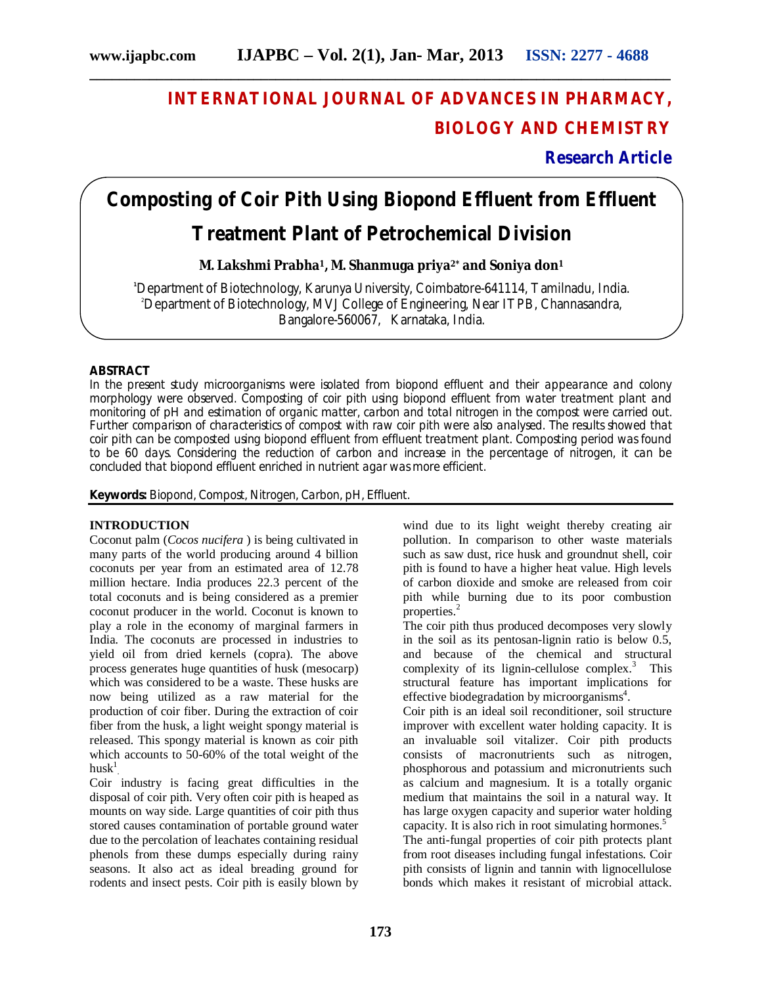**\_\_\_\_\_\_\_\_\_\_\_\_\_\_\_\_\_\_\_\_\_\_\_\_\_\_\_\_\_\_\_\_\_\_\_\_\_\_\_\_\_\_\_\_\_\_\_\_\_\_\_\_\_\_\_\_\_\_\_\_\_\_\_\_\_\_\_\_\_\_\_\_\_\_\_\_\_\_**

## **INTERNATIONAL JOURNAL OF ADVANCES IN PHARMACY, BIOLOGY AND CHEMISTRY**

**Research Article**

## **Composting of Coir Pith Using Biopond Effluent from Effluent**

### **Treatment Plant of Petrochemical Division**

**M. Lakshmi Prabha1, M. Shanmuga priya2\* and Soniya don<sup>1</sup>**

**<sup>1</sup>**Department of Biotechnology, Karunya University, Coimbatore-641114, Tamilnadu, India. <sup>2</sup>Department of Biotechnology, MVJ College of Engineering, Near ITPB, Channasandra, Bangalore-560067, Karnataka, India.

#### **ABSTRACT**

In the present study microorganisms were isolated from biopond effluent and their appearance and colony morphology were observed. Composting of coir pith using biopond effluent from water treatment plant and monitoring of pH and estimation of organic matter, carbon and total nitrogen in the compost were carried out. Further comparison of characteristics of compost with raw coir pith were also analysed. The results showed that coir pith can be composted using biopond effluent from effluent treatment plant. Composting period was found to be 60 days. Considering the reduction of carbon and increase in the percentage of nitrogen, it can be concluded that biopond effluent enriched in nutrient agar was more efficient.

**Keywords:** Biopond, Compost, Nitrogen, Carbon, pH, Effluent.

#### **INTRODUCTION**

Coconut palm (*Cocos nucifera* ) is being cultivated in many parts of the world producing around 4 billion coconuts per year from an estimated area of 12.78 million hectare. India produces 22.3 percent of the total coconuts and is being considered as a premier coconut producer in the world. Coconut is known to play a role in the economy of marginal farmers in India. The coconuts are processed in industries to yield oil from dried kernels (copra). The above process generates huge quantities of husk (mesocarp) which was considered to be a waste. These husks are now being utilized as a raw material for the production of coir fiber. During the extraction of coir fiber from the husk, a light weight spongy material is released. This spongy material is known as coir pith which accounts to 50-60% of the total weight of the husk $^{\rm l}$  .

Coir industry is facing great difficulties in the disposal of coir pith. Very often coir pith is heaped as mounts on way side. Large quantities of coir pith thus stored causes contamination of portable ground water due to the percolation of leachates containing residual phenols from these dumps especially during rainy seasons. It also act as ideal breading ground for rodents and insect pests. Coir pith is easily blown by

wind due to its light weight thereby creating air pollution. In comparison to other waste materials such as saw dust, rice husk and groundnut shell, coir pith is found to have a higher heat value. High levels of carbon dioxide and smoke are released from coir pith while burning due to its poor combustion properties.<sup>2</sup>

The coir pith thus produced decomposes very slowly in the soil as its pentosan-lignin ratio is below 0.5, and because of the chemical and structural complexity of its lignin-cellulose complex. <sup>3</sup> This structural feature has important implications for effective biodegradation by microorganisms<sup>4</sup>.

Coir pith is an ideal soil reconditioner, soil structure improver with excellent water holding capacity. It is an invaluable soil vitalizer. Coir pith products consists of macronutrients such as nitrogen, phosphorous and potassium and micronutrients such as calcium and magnesium. It is a totally organic medium that maintains the soil in a natural way. It has large oxygen capacity and superior water holding capacity. It is also rich in root simulating hormones. 5 The anti-fungal properties of coir pith protects plant from root diseases including fungal infestations. Coir pith consists of lignin and tannin with lignocellulose bonds which makes it resistant of microbial attack.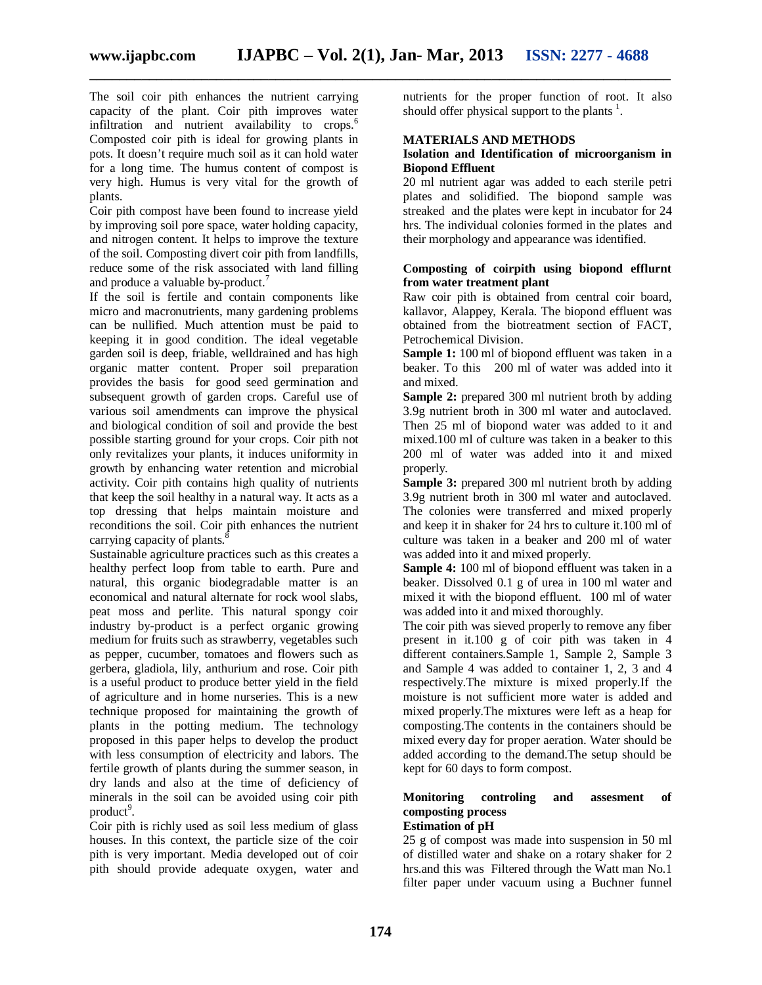**\_\_\_\_\_\_\_\_\_\_\_\_\_\_\_\_\_\_\_\_\_\_\_\_\_\_\_\_\_\_\_\_\_\_\_\_\_\_\_\_\_\_\_\_\_\_\_\_\_\_\_\_\_\_\_\_\_\_\_\_\_\_\_\_\_\_\_\_\_\_\_\_\_\_\_\_\_\_**

The soil coir pith enhances the nutrient carrying capacity of the plant. Coir pith improves water infiltration and nutrient availability to crops. 6 Composted coir pith is ideal for growing plants in pots. It doesn't require much soil as it can hold water for a long time. The humus content of compost is very high. Humus is very vital for the growth of plants.

Coir pith compost have been found to increase yield by improving soil pore space, water holding capacity, and nitrogen content. It helps to improve the texture of the soil. Composting divert coir pith from landfills, reduce some of the risk associated with land filling and produce a valuable by-product.<sup>7</sup>

If the soil is fertile and contain components like micro and macronutrients, many gardening problems can be nullified. Much attention must be paid to keeping it in good condition. The ideal vegetable garden soil is deep, friable, welldrained and has high organic matter content. Proper soil preparation provides the basis for good seed germination and subsequent growth of garden crops. Careful use of various soil amendments can improve the physical and biological condition of soil and provide the best possible starting ground for your crops. Coir pith not only revitalizes your plants, it induces uniformity in growth by enhancing water retention and microbial activity. Coir pith contains high quality of nutrients that keep the soil healthy in a natural way. It acts as a top dressing that helps maintain moisture and reconditions the soil. Coir pith enhances the nutrient carrying capacity of plants.<sup>8</sup>

Sustainable agriculture practices such as this creates a healthy perfect loop from table to earth. Pure and natural, this organic biodegradable matter is an economical and natural alternate for rock wool slabs, peat moss and perlite. This natural spongy coir industry by-product is a perfect organic growing medium for fruits such as strawberry, vegetables such as pepper, cucumber, tomatoes and flowers such as gerbera, gladiola, lily, anthurium and rose. Coir pith is a useful product to produce better yield in the field of agriculture and in home nurseries. This is a new technique proposed for maintaining the growth of plants in the potting medium. The technology proposed in this paper helps to develop the product with less consumption of electricity and labors. The fertile growth of plants during the summer season, in dry lands and also at the time of deficiency of minerals in the soil can be avoided using coir pith product<sup>9</sup>.

Coir pith is richly used as soil less medium of glass houses. In this context, the particle size of the coir pith is very important. Media developed out of coir pith should provide adequate oxygen, water and nutrients for the proper function of root. It also should offer physical support to the plants  $<sup>1</sup>$ .</sup>

#### **MATERIALS AND METHODS**

#### **Isolation and Identification of microorganism in Biopond Effluent**

20 ml nutrient agar was added to each sterile petri plates and solidified. The biopond sample was streaked and the plates were kept in incubator for 24 hrs. The individual colonies formed in the plates and their morphology and appearance was identified.

#### **Composting of coirpith using biopond efflurnt from water treatment plant**

Raw coir pith is obtained from central coir board, kallavor, Alappey, Kerala. The biopond effluent was obtained from the biotreatment section of FACT, Petrochemical Division.

**Sample 1:** 100 ml of biopond effluent was taken in a beaker. To this 200 ml of water was added into it and mixed.

**Sample 2:** prepared 300 ml nutrient broth by adding 3.9g nutrient broth in 300 ml water and autoclaved. Then 25 ml of biopond water was added to it and mixed.100 ml of culture was taken in a beaker to this 200 ml of water was added into it and mixed properly.

**Sample 3:** prepared 300 ml nutrient broth by adding 3.9g nutrient broth in 300 ml water and autoclaved. The colonies were transferred and mixed properly and keep it in shaker for 24 hrs to culture it.100 ml of culture was taken in a beaker and 200 ml of water was added into it and mixed properly.

**Sample 4:** 100 ml of biopond effluent was taken in a beaker. Dissolved 0.1 g of urea in 100 ml water and mixed it with the biopond effluent. 100 ml of water was added into it and mixed thoroughly.

The coir pith was sieved properly to remove any fiber present in it.100 g of coir pith was taken in 4 different containers.Sample 1, Sample 2, Sample 3 and Sample 4 was added to container 1, 2, 3 and 4 respectively.The mixture is mixed properly.If the moisture is not sufficient more water is added and mixed properly.The mixtures were left as a heap for composting.The contents in the containers should be mixed every day for proper aeration. Water should be added according to the demand.The setup should be kept for 60 days to form compost.

### **Monitoring controling and assesment of composting process**

### **Estimation of pH**

25 g of compost was made into suspension in 50 ml of distilled water and shake on a rotary shaker for 2 hrs.and this was Filtered through the Watt man No.1 filter paper under vacuum using a Buchner funnel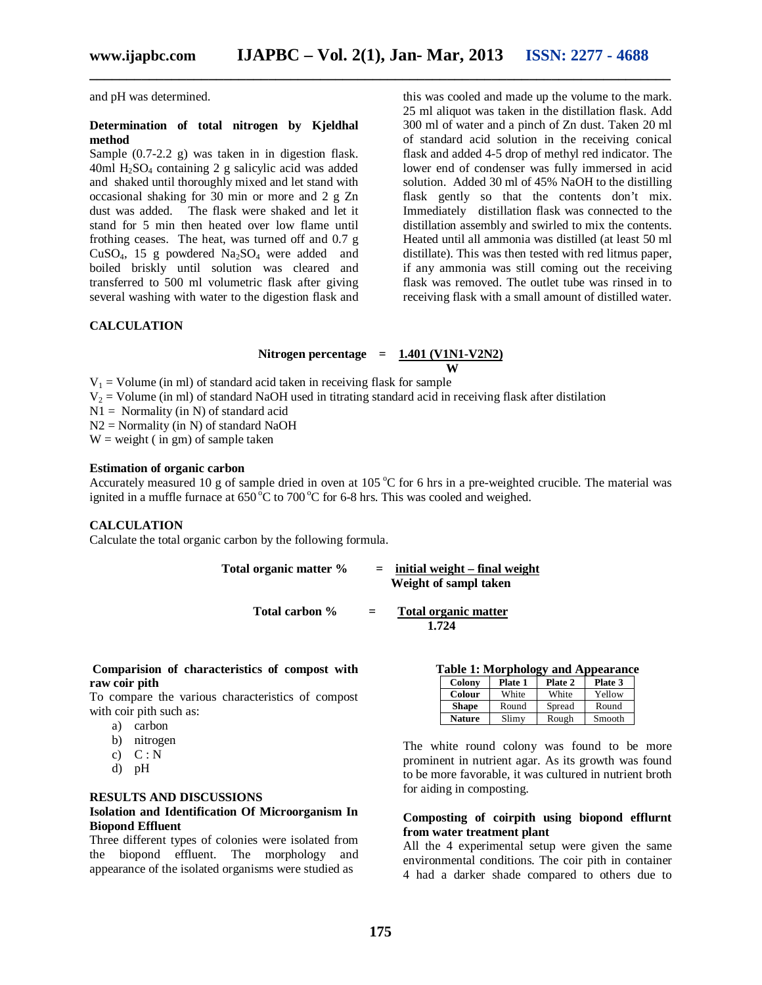and pH was determined.

#### **Determination of total nitrogen by Kjeldhal method**

Sample (0.7-2.2 g) was taken in in digestion flask.  $40ml H<sub>2</sub>SO<sub>4</sub> containing 2 g salicylic acid was added$ and shaked until thoroughly mixed and let stand with occasional shaking for 30 min or more and 2 g Zn dust was added. The flask were shaked and let it stand for 5 min then heated over low flame until frothing ceases. The heat, was turned off and 0.7 g CuSO<sub>4</sub>, 15 g powdered  $Na<sub>2</sub>SO<sub>4</sub>$  were added and boiled briskly until solution was cleared and transferred to 500 ml volumetric flask after giving several washing with water to the digestion flask and this was cooled and made up the volume to the mark. 25 ml aliquot was taken in the distillation flask. Add 300 ml of water and a pinch of Zn dust. Taken 20 ml of standard acid solution in the receiving conical flask and added 4-5 drop of methyl red indicator. The lower end of condenser was fully immersed in acid solution. Added 30 ml of 45% NaOH to the distilling flask gently so that the contents don't mix. Immediately distillation flask was connected to the distillation assembly and swirled to mix the contents. Heated until all ammonia was distilled (at least 50 ml distillate). This was then tested with red litmus paper, if any ammonia was still coming out the receiving flask was removed. The outlet tube was rinsed in to receiving flask with a small amount of distilled water.

#### **CALCULATION**

### Nitrogen percentage =  $\frac{1.401 (V1N1-V2N2)}{W}$

**\_\_\_\_\_\_\_\_\_\_\_\_\_\_\_\_\_\_\_\_\_\_\_\_\_\_\_\_\_\_\_\_\_\_\_\_\_\_\_\_\_\_\_\_\_\_\_\_\_\_\_\_\_\_\_\_\_\_\_\_\_\_\_\_\_\_\_\_\_\_\_\_\_\_\_\_\_\_**

 **W**  $V_1$  = Volume (in ml) of standard acid taken in receiving flask for sample

 $V_2$  = Volume (in ml) of standard NaOH used in titrating standard acid in receiving flask after distilation

 $N1 =$  Normality (in N) of standard acid

 $N2$  = Normality (in N) of standard NaOH

 $W = weight (in gm) of sample taken$ 

#### **Estimation of organic carbon**

Accurately measured 10 g of sample dried in oven at 105  $\degree$ C for 6 hrs in a pre-weighted crucible. The material was ignited in a muffle furnace at  $650\,^{\circ}\text{C}$  to  $700\,^{\circ}\text{C}$  for 6-8 hrs. This was cooled and weighed.

#### **CALCULATION**

Calculate the total organic carbon by the following formula.

**Total organic matter % = initial weight – final weight Weight of sampl taken**

$$
Total carbon % = \underline{Total organic matter} 1.724
$$

#### **Comparision of characteristics of compost with raw coir pith**

To compare the various characteristics of compost with coir pith such as:

- a) carbon
- b) nitrogen
- c)  $C: N$
- d) pH

#### **RESULTS AND DISCUSSIONS Isolation and Identification Of Microorganism In**

## **Biopond Effluent**

Three different types of colonies were isolated from the biopond effluent. The morphology and appearance of the isolated organisms were studied as

| <b>Table 1: Morphology and Appearance</b> |  |
|-------------------------------------------|--|
|-------------------------------------------|--|

| Colony       | Plate 1 | Plate 2 | Plate 3 |
|--------------|---------|---------|---------|
| Colour       | White   | White   | Yellow  |
| <b>Shape</b> | Round   | Spread  | Round   |
| Nature       | Slimy   | Rough   | Smooth  |

The white round colony was found to be more prominent in nutrient agar. As its growth was found to be more favorable, it was cultured in nutrient broth for aiding in composting.

#### **Composting of coirpith using biopond efflurnt from water treatment plant**

All the 4 experimental setup were given the same environmental conditions. The coir pith in container 4 had a darker shade compared to others due to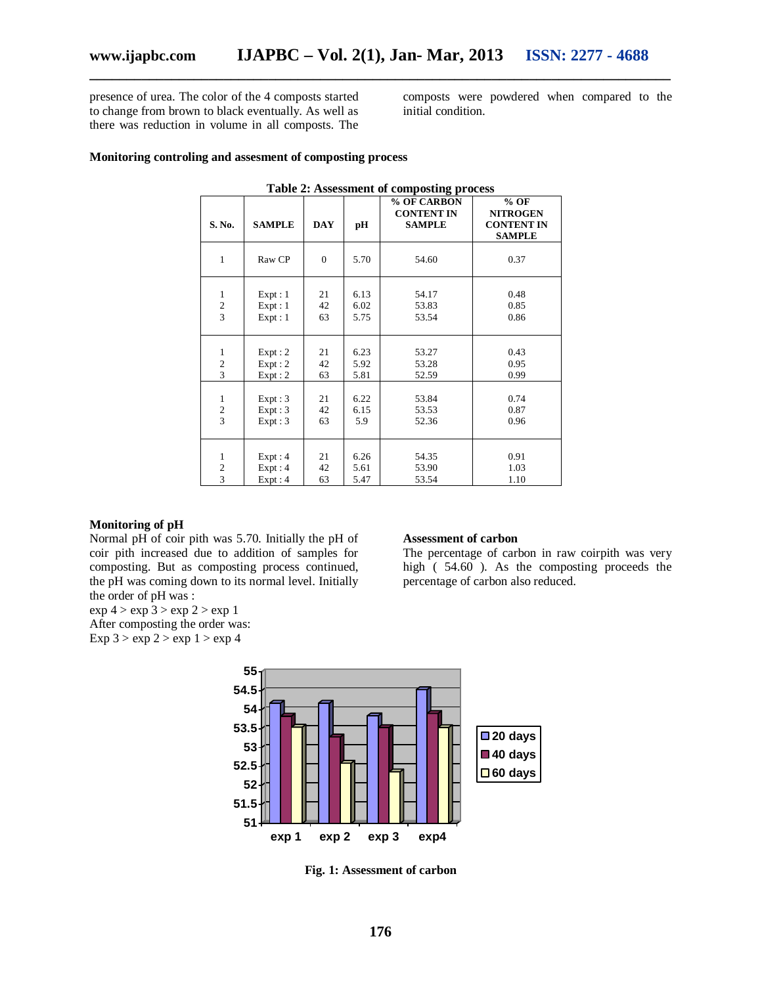presence of urea. The color of the 4 composts started to change from brown to black eventually. As well as there was reduction in volume in all composts. The

composts were powdered when compared to the initial condition.

#### **Monitoring controling and assesment of composting process**

| rabic 2. Assessment or composing process                  |                            |                |                      |                                                   |                                                                 |  |
|-----------------------------------------------------------|----------------------------|----------------|----------------------|---------------------------------------------------|-----------------------------------------------------------------|--|
| S. No.                                                    | <b>SAMPLE</b>              | <b>DAY</b>     | pН                   | % OF CARBON<br><b>CONTENT IN</b><br><b>SAMPLE</b> | $%$ OF<br><b>NITROGEN</b><br><b>CONTENT IN</b><br><b>SAMPLE</b> |  |
| $\mathbf{1}$                                              | Raw CP                     | $\mathbf{0}$   | 5.70                 | 54.60                                             | 0.37                                                            |  |
| $\mathbf{1}$<br>$\frac{2}{3}$                             | Expt:1<br>Expt:1<br>Expt:1 | 21<br>42<br>63 | 6.13<br>6.02<br>5.75 | 54.17<br>53.83<br>53.54                           | 0.48<br>0.85<br>0.86                                            |  |
| $\mathbf{1}$<br>$\overline{\mathbf{c}}$<br>$\overline{3}$ | Expt:2<br>Expt:2<br>Expt:2 | 21<br>42<br>63 | 6.23<br>5.92<br>5.81 | 53.27<br>53.28<br>52.59                           | 0.43<br>0.95<br>0.99                                            |  |
| $\,1\,$<br>$\overline{\mathbf{c}}$<br>$\overline{3}$      | Expt:3<br>Expt:3<br>Expt:3 | 21<br>42<br>63 | 6.22<br>6.15<br>5.9  | 53.84<br>53.53<br>52.36                           | 0.74<br>0.87<br>0.96                                            |  |
| $\mathbf{1}$<br>$\overline{\mathbf{c}}$<br>3              | Expt:4<br>Expt:4<br>Expt:4 | 21<br>42<br>63 | 6.26<br>5.61<br>5.47 | 54.35<br>53.90<br>53.54                           | 0.91<br>1.03<br>1.10                                            |  |

#### **Table 2: Assessment of composting process**

**\_\_\_\_\_\_\_\_\_\_\_\_\_\_\_\_\_\_\_\_\_\_\_\_\_\_\_\_\_\_\_\_\_\_\_\_\_\_\_\_\_\_\_\_\_\_\_\_\_\_\_\_\_\_\_\_\_\_\_\_\_\_\_\_\_\_\_\_\_\_\_\_\_\_\_\_\_\_**

#### **Monitoring of pH**

Normal pH of coir pith was 5.70. Initially the pH of coir pith increased due to addition of samples for composting. But as composting process continued, the pH was coming down to its normal level. Initially the order of pH was :

 $\exp 4$  >  $\exp 3$  >  $\exp 2$  >  $\exp 1$ 

After composting the order was: Exp  $3 > exp 2 > exp 1 > exp 4$ 

#### **Assessment of carbon**

The percentage of carbon in raw coirpith was very high ( 54.60 ). As the composting proceeds the percentage of carbon also reduced.



**Fig. 1: Assessment of carbon**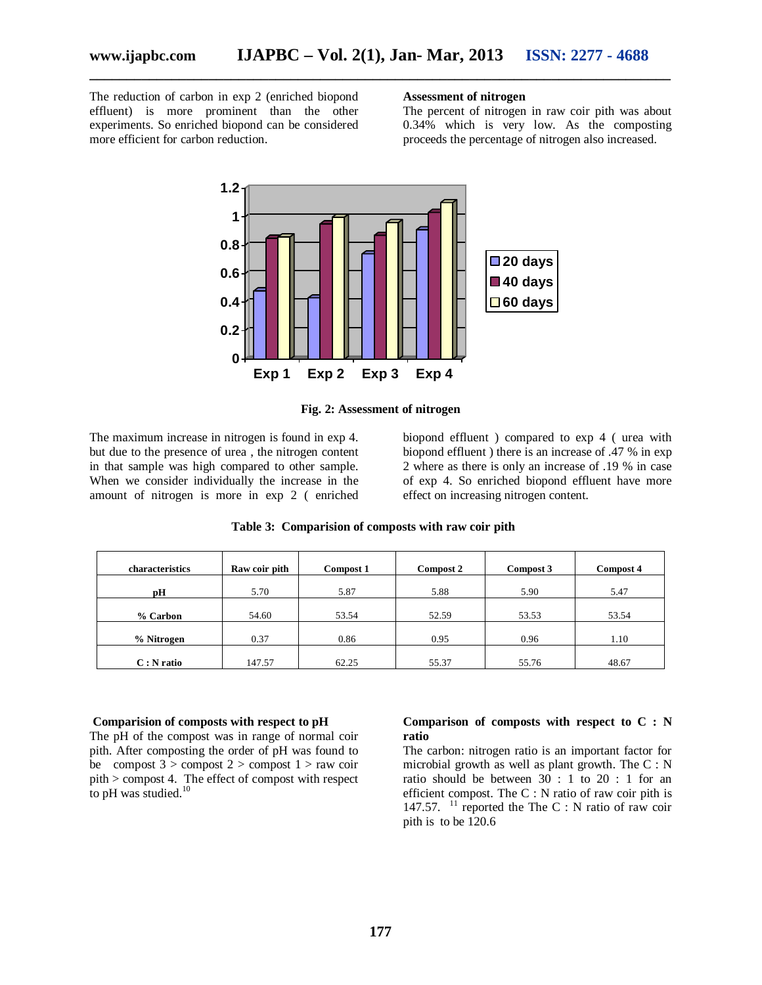The reduction of carbon in exp 2 (enriched biopond effluent) is more prominent than the other experiments. So enriched biopond can be considered more efficient for carbon reduction.

#### **Assessment of nitrogen**

The percent of nitrogen in raw coir pith was about 0.34% which is very low. As the composting proceeds the percentage of nitrogen also increased.



**Fig. 2: Assessment of nitrogen**

The maximum increase in nitrogen is found in exp 4. but due to the presence of urea , the nitrogen content in that sample was high compared to other sample. When we consider individually the increase in the amount of nitrogen is more in exp 2 ( enriched

biopond effluent ) compared to exp 4 ( urea with biopond effluent ) there is an increase of .47 % in exp 2 where as there is only an increase of .19 % in case of exp 4. So enriched biopond effluent have more effect on increasing nitrogen content.

| characteristics | Raw coir pith | Compost 1 | Compost 2 | Compost 3 | Compost 4 |
|-----------------|---------------|-----------|-----------|-----------|-----------|
| рH              | 5.70          | 5.87      | 5.88      | 5.90      | 5.47      |
| % Carbon        | 54.60         | 53.54     | 52.59     | 53.53     | 53.54     |
| % Nitrogen      | 0.37          | 0.86      | 0.95      | 0.96      | 1.10      |
| $C: N$ ratio    | 147.57        | 62.25     | 55.37     | 55.76     | 48.67     |

 **Table 3: Comparision of composts with raw coir pith**

#### **Comparision of composts with respect to pH**

The pH of the compost was in range of normal coir pith. After composting the order of pH was found to be compost  $3 >$  compost  $2 >$  compost  $1 >$  raw coir pith > compost 4. The effect of compost with respect to pH was studied.<sup>10</sup>

#### **Comparison of composts with respect to C : N ratio**

The carbon: nitrogen ratio is an important factor for microbial growth as well as plant growth. The C : N ratio should be between 30 : 1 to 20 : 1 for an efficient compost. The C : N ratio of raw coir pith is 147.57.  $11$  reported the The C : N ratio of raw coir pith is to be 120.6